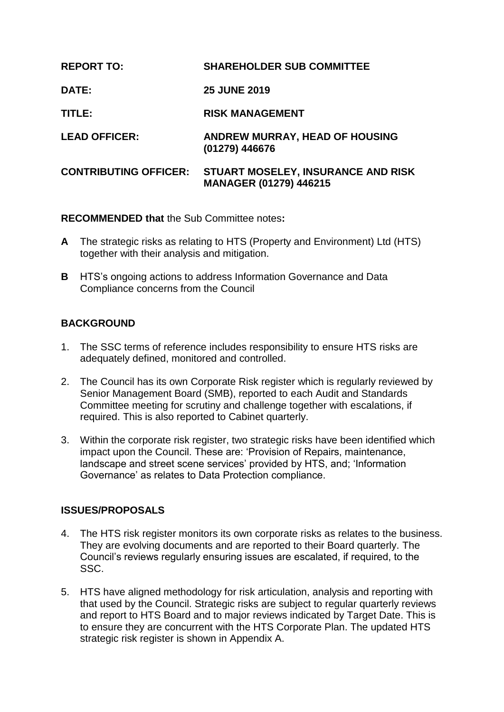| <b>REPORT TO:</b>            | <b>SHAREHOLDER SUB COMMITTEE</b>                                    |
|------------------------------|---------------------------------------------------------------------|
| <b>DATE:</b>                 | <b>25 JUNE 2019</b>                                                 |
| TITLE:                       | <b>RISK MANAGEMENT</b>                                              |
| <b>LEAD OFFICER:</b>         | ANDREW MURRAY, HEAD OF HOUSING<br>(01279) 446676                    |
| <b>CONTRIBUTING OFFICER:</b> | STUART MOSELEY, INSURANCE AND RISK<br><b>MANAGER (01279) 446215</b> |

**RECOMMENDED that** the Sub Committee notes**:**

- **A** The strategic risks as relating to HTS (Property and Environment) Ltd (HTS) together with their analysis and mitigation.
- **B** HTS's ongoing actions to address Information Governance and Data Compliance concerns from the Council

# **BACKGROUND**

- 1. The SSC terms of reference includes responsibility to ensure HTS risks are adequately defined, monitored and controlled.
- 2. The Council has its own Corporate Risk register which is regularly reviewed by Senior Management Board (SMB), reported to each Audit and Standards Committee meeting for scrutiny and challenge together with escalations, if required. This is also reported to Cabinet quarterly.
- 3. Within the corporate risk register, two strategic risks have been identified which impact upon the Council. These are: 'Provision of Repairs, maintenance, landscape and street scene services' provided by HTS, and; 'Information Governance' as relates to Data Protection compliance.

# **ISSUES/PROPOSALS**

- 4. The HTS risk register monitors its own corporate risks as relates to the business. They are evolving documents and are reported to their Board quarterly. The Council's reviews regularly ensuring issues are escalated, if required, to the SSC.
- 5. HTS have aligned methodology for risk articulation, analysis and reporting with that used by the Council. Strategic risks are subject to regular quarterly reviews and report to HTS Board and to major reviews indicated by Target Date. This is to ensure they are concurrent with the HTS Corporate Plan. The updated HTS strategic risk register is shown in Appendix A.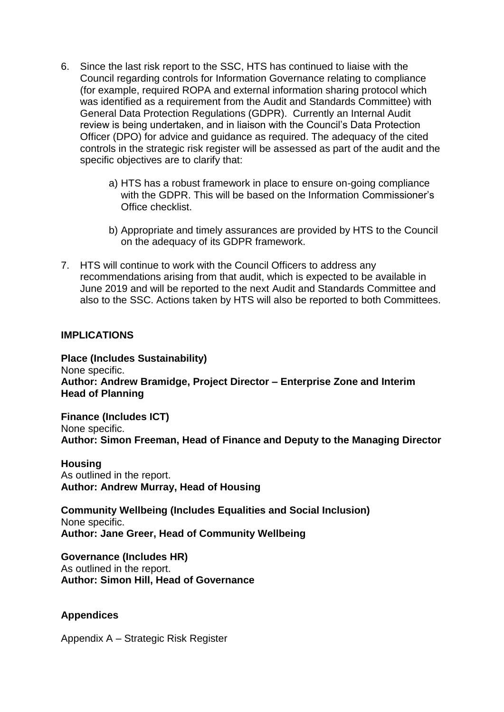- 6. Since the last risk report to the SSC, HTS has continued to liaise with the Council regarding controls for Information Governance relating to compliance (for example, required ROPA and external information sharing protocol which was identified as a requirement from the Audit and Standards Committee) with General Data Protection Regulations (GDPR). Currently an Internal Audit review is being undertaken, and in liaison with the Council's Data Protection Officer (DPO) for advice and guidance as required. The adequacy of the cited controls in the strategic risk register will be assessed as part of the audit and the specific objectives are to clarify that:
	- a) HTS has a robust framework in place to ensure on-going compliance with the GDPR. This will be based on the Information Commissioner's Office checklist.
	- b) Appropriate and timely assurances are provided by HTS to the Council on the adequacy of its GDPR framework.
- 7. HTS will continue to work with the Council Officers to address any recommendations arising from that audit, which is expected to be available in June 2019 and will be reported to the next Audit and Standards Committee and also to the SSC. Actions taken by HTS will also be reported to both Committees.

### **IMPLICATIONS**

**Place (Includes Sustainability)** None specific. **Author: Andrew Bramidge, Project Director – Enterprise Zone and Interim Head of Planning**

**Finance (Includes ICT)** None specific. **Author: Simon Freeman, Head of Finance and Deputy to the Managing Director**

#### **Housing**

As outlined in the report. **Author: Andrew Murray, Head of Housing**

**Community Wellbeing (Includes Equalities and Social Inclusion)** None specific. **Author: Jane Greer, Head of Community Wellbeing**

**Governance (Includes HR)** As outlined in the report. **Author: Simon Hill, Head of Governance**

## **Appendices**

Appendix A – Strategic Risk Register